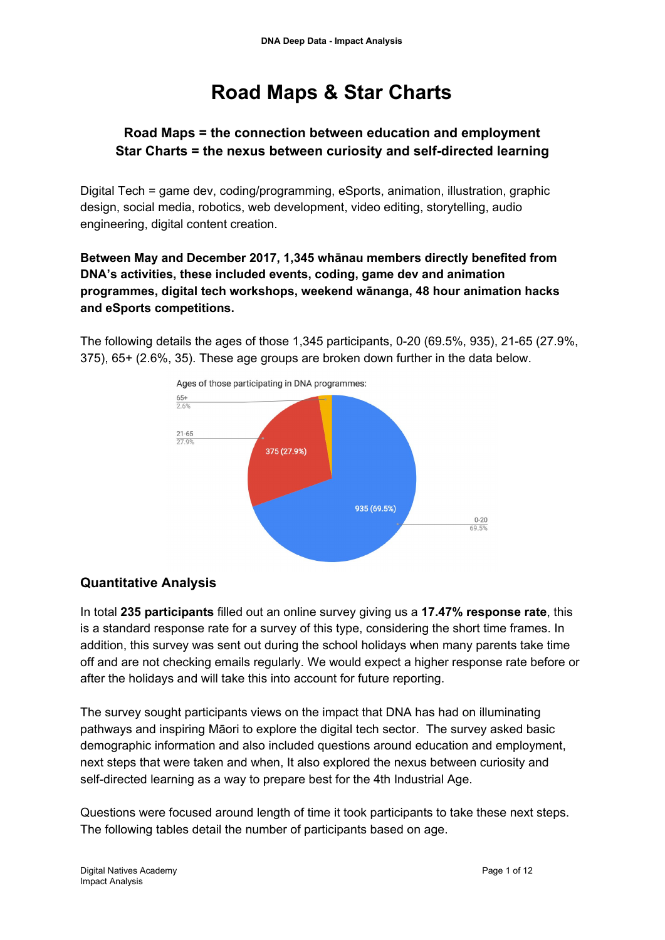## **Road Maps & Star Charts**

## **Road Maps = the connection between education and employment Star Charts = the nexus between curiosity and self-directed learning**

Digital Tech = game dev, coding/programming, eSports, animation, illustration, graphic design, social media, robotics, web development, video editing, storytelling, audio engineering, digital content creation.

**Between May and December 2017, 1,345 whānau members directly benefited from DNA's activities, these included events, coding, game dev and animation programmes, digital tech workshops, weekend wānanga, 48 hour animation hacks and eSports competitions.**

The following details the ages of those 1,345 participants, 0-20 (69.5%, 935), 21-65 (27.9%, 375), 65+ (2.6%, 35). These age groups are broken down further in the data below.



## **Quantitative Analysis**

In total **235 participants** filled out an online survey giving us a **17.47% response rate**, this is a standard response rate for a survey of this type, considering the short time frames. In addition, this survey was sent out during the school holidays when many parents take time off and are not checking emails regularly. We would expect a higher response rate before or after the holidays and will take this into account for future reporting.

The survey sought participants views on the impact that DNA has had on illuminating pathways and inspiring Māori to explore the digital tech sector. The survey asked basic demographic information and also included questions around education and employment, next steps that were taken and when, It also explored the nexus between curiosity and self-directed learning as a way to prepare best for the 4th Industrial Age.

Questions were focused around length of time it took participants to take these next steps. The following tables detail the number of participants based on age.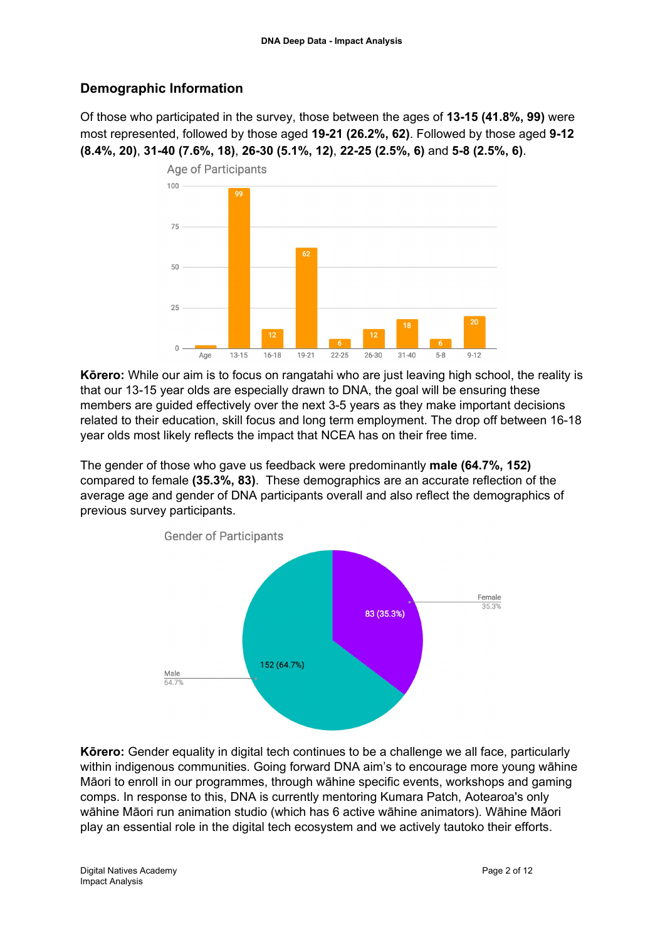## **Demographic Information**

Of those who participated in the survey, those between the ages of **13-15 (41.8%, 99)** were most represented, followed by those aged **19-21 (26.2%, 62)**. Followed by those aged **9-12 (8.4%, 20)**, **31-40 (7.6%, 18)**, **26-30 (5.1%, 12)**, **22-25 (2.5%, 6)** and **5-8 (2.5%, 6)**.



**Kōrero:** While our aim is to focus on rangatahi who are just leaving high school, the reality is that our 13-15 year olds are especially drawn to DNA, the goal will be ensuring these members are guided effectively over the next 3-5 years as they make important decisions related to their education, skill focus and long term employment. The drop off between 16-18 year olds most likely reflects the impact that NCEA has on their free time.

The gender of those who gave us feedback were predominantly **male (64.7%, 152)** compared to female **(35.3%, 83)**. These demographics are an accurate reflection of the average age and gender of DNA participants overall and also reflect the demographics of previous survey participants.



**Kōrero:** Gender equality in digital tech continues to be a challenge we all face, particularly within indigenous communities. Going forward DNA aim's to encourage more young wāhine Māori to enroll in our programmes, through wāhine specific events, workshops and gaming comps. In response to this, DNA is currently mentoring Kumara Patch, Aotearoa's only wāhine Māori run animation studio (which has 6 active wāhine animators). Wāhine Māori play an essential role in the digital tech ecosystem and we actively tautoko their efforts.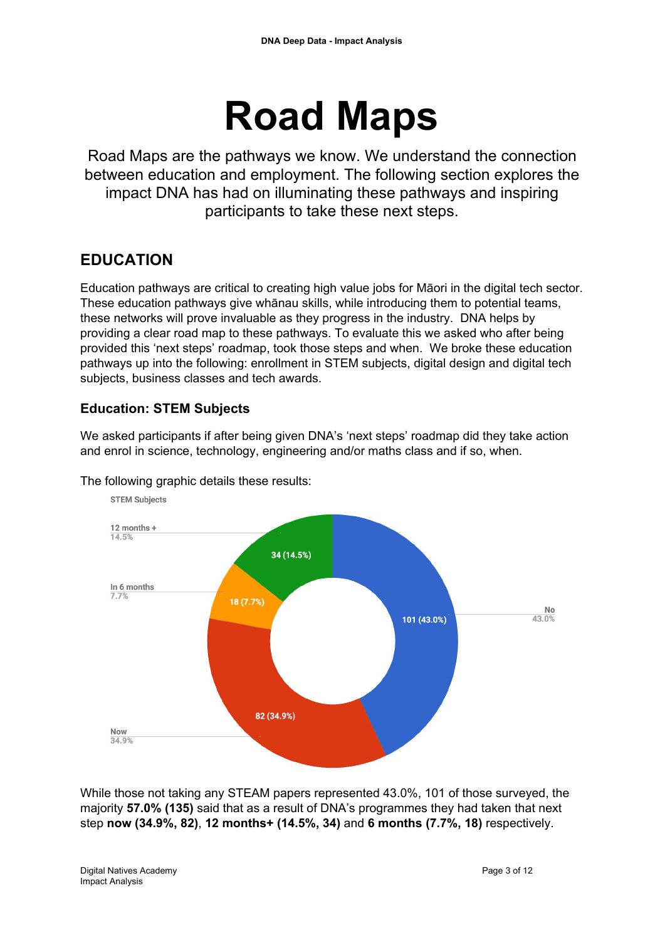# **Road Maps**

Road Maps are the pathways we know. We understand the connection between education and employment. The following section explores the impact DNA has had on illuminating these pathways and inspiring participants to take these next steps.

## **EDUCATION**

Education pathways are critical to creating high value jobs for Māori in the digital tech sector. These education pathways give whānau skills, while introducing them to potential teams, these networks will prove invaluable as they progress in the industry. DNA helps by providing a clear road map to these pathways. To evaluate this we asked who after being provided this 'next steps' roadmap, took those steps and when. We broke these education pathways up into the following: enrollment in STEM subjects, digital design and digital tech subjects, business classes and tech awards.

## **Education: STEM Subjects**

We asked participants if after being given DNA's 'next steps' roadmap did they take action and enrol in science, technology, engineering and/or maths class and if so, when.



The following graphic details these results:

While those not taking any STEAM papers represented 43.0%, 101 of those surveyed, the majority **57.0% (135)** said that as a result of DNA's programmes they had taken that next step **now (34.9%, 82)**, **12 months+ (14.5%, 34)** and **6 months (7.7%, 18)** respectively.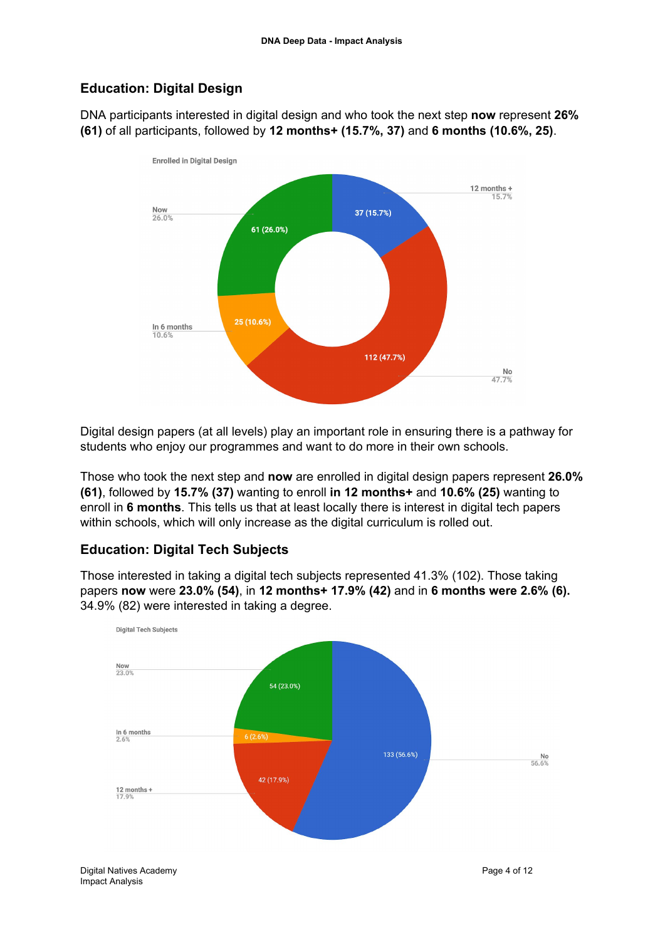## **Education: Digital Design**

DNA participants interested in digital design and who took the next step **now** represent **26% (61)** of all participants, followed by **12 months+ (15.7%, 37)** and **6 months (10.6%, 25)**.



Digital design papers (at all levels) play an important role in ensuring there is a pathway for students who enjoy our programmes and want to do more in their own schools.

Those who took the next step and **now** are enrolled in digital design papers represent **26.0% (61)**, followed by **15.7% (37)** wanting to enroll **in 12 months+** and **10.6% (25)** wanting to enroll in **6 months**. This tells us that at least locally there is interest in digital tech papers within schools, which will only increase as the digital curriculum is rolled out.

## **Education: Digital Tech Subjects**

Those interested in taking a digital tech subjects represented 41.3% (102). Those taking papers **now** were **23.0% (54)**, in **12 months+ 17.9% (42)** and in **6 months were 2.6% (6).** 34.9% (82) were interested in taking a degree.

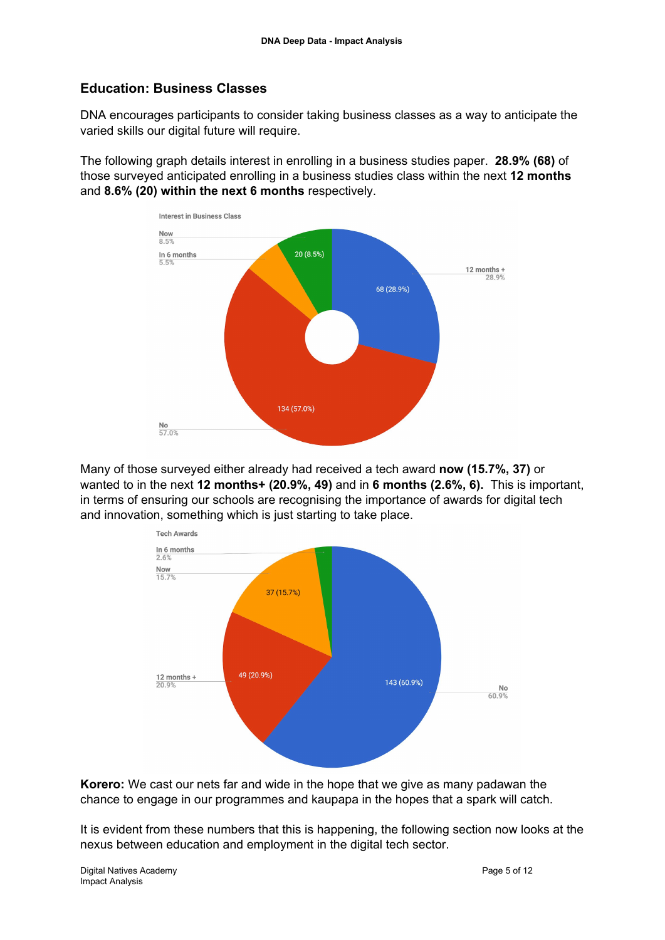#### **Education: Business Classes**

DNA encourages participants to consider taking business classes as a way to anticipate the varied skills our digital future will require.

The following graph details interest in enrolling in a business studies paper. **28.9% (68)** of those surveyed anticipated enrolling in a business studies class within the next **12 months** and **8.6% (20) within the next 6 months** respectively.



Many of those surveyed either already had received a tech award **now (15.7%, 37)** or wanted to in the next **12 months+ (20.9%, 49)** and in **6 months (2.6%, 6).** This is important, in terms of ensuring our schools are recognising the importance of awards for digital tech and innovation, something which is just starting to take place.



**Korero:** We cast our nets far and wide in the hope that we give as many padawan the chance to engage in our programmes and kaupapa in the hopes that a spark will catch.

It is evident from these numbers that this is happening, the following section now looks at the nexus between education and employment in the digital tech sector.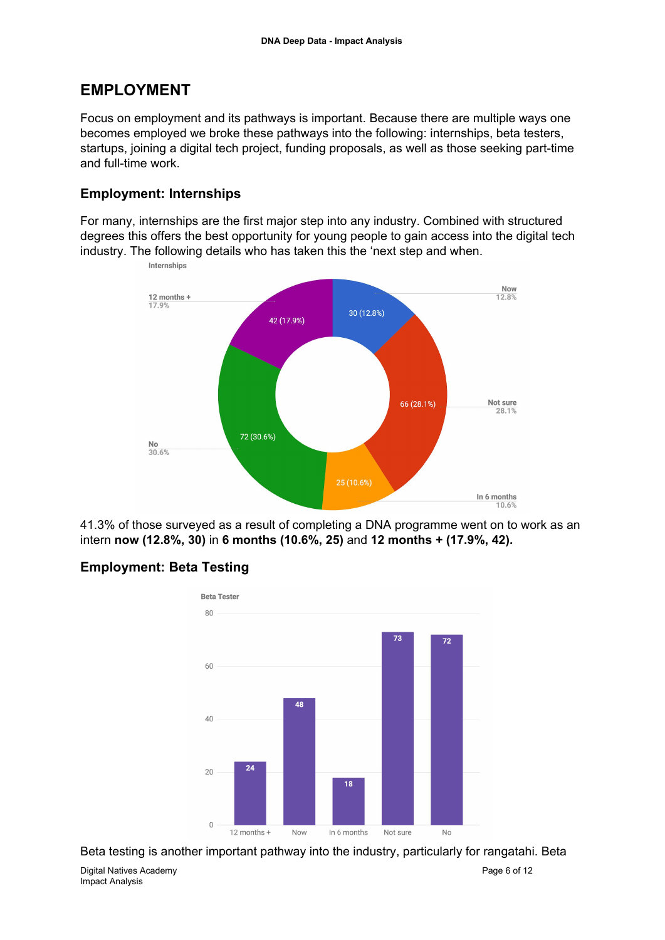## **EMPLOYMENT**

Focus on employment and its pathways is important. Because there are multiple ways one becomes employed we broke these pathways into the following: internships, beta testers, startups, joining a digital tech project, funding proposals, as well as those seeking part-time and full-time work.

#### **Employment: Internships**

For many, internships are the first major step into any industry. Combined with structured degrees this offers the best opportunity for young people to gain access into the digital tech industry. The following details who has taken this the 'next step and when.



41.3% of those surveyed as a result of completing a DNA programme went on to work as an intern **now (12.8%, 30)** in **6 months (10.6%, 25)** and **12 months + (17.9%, 42).**

## **Employment: Beta Testing**



Beta testing is another important pathway into the industry, particularly for rangatahi. Beta

Digital Natives Academy Page 6 of 12 Impact Analysis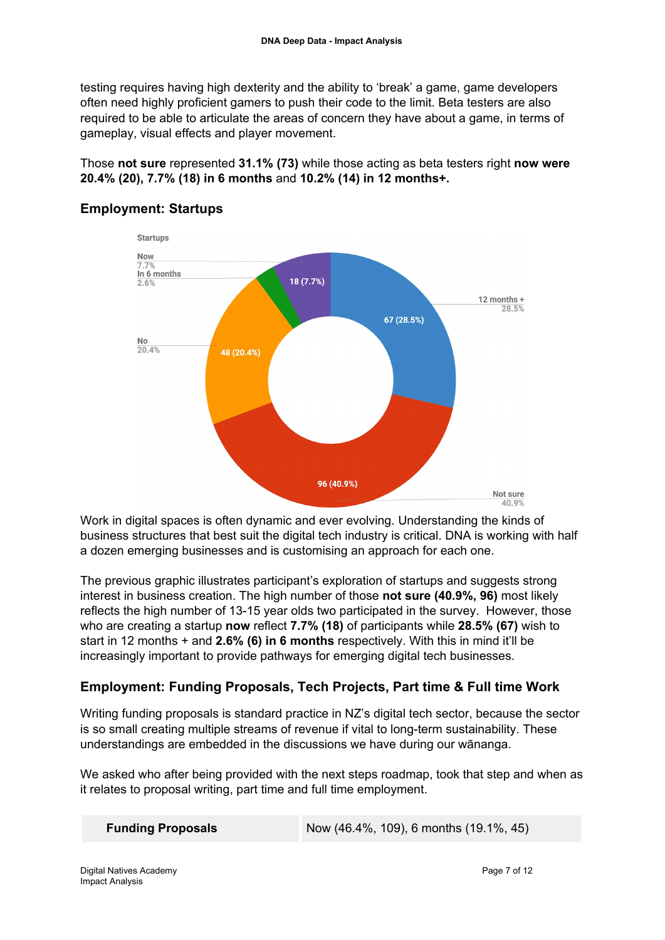testing requires having high dexterity and the ability to 'break' a game, game developers often need highly proficient gamers to push their code to the limit. Beta testers are also required to be able to articulate the areas of concern they have about a game, in terms of gameplay, visual effects and player movement.

Those **not sure** represented **31.1% (73)** while those acting as beta testers right **now were 20.4% (20), 7.7% (18) in 6 months** and **10.2% (14) in 12 months+.**



## **Employment: Startups**

Work in digital spaces is often dynamic and ever evolving. Understanding the kinds of business structures that best suit the digital tech industry is critical. DNA is working with half a dozen emerging businesses and is customising an approach for each one.

The previous graphic illustrates participant's exploration of startups and suggests strong interest in business creation. The high number of those **not sure (40.9%, 96)** most likely reflects the high number of 13-15 year olds two participated in the survey. However, those who are creating a startup **now** reflect **7.7% (18)** of participants while **28.5% (67)** wish to start in 12 months + and **2.6% (6) in 6 months** respectively. With this in mind it'll be increasingly important to provide pathways for emerging digital tech businesses.

## **Employment: Funding Proposals, Tech Projects, Part time & Full time Work**

Writing funding proposals is standard practice in NZ's digital tech sector, because the sector is so small creating multiple streams of revenue if vital to long-term sustainability. These understandings are embedded in the discussions we have during our wānanga.

We asked who after being provided with the next steps roadmap, took that step and when as it relates to proposal writing, part time and full time employment.

|  | <b>Funding Proposals</b> |  |
|--|--------------------------|--|
|--|--------------------------|--|

**Facebook Proposals** Now (46.4%, 109), 6 months (19.1%, 45)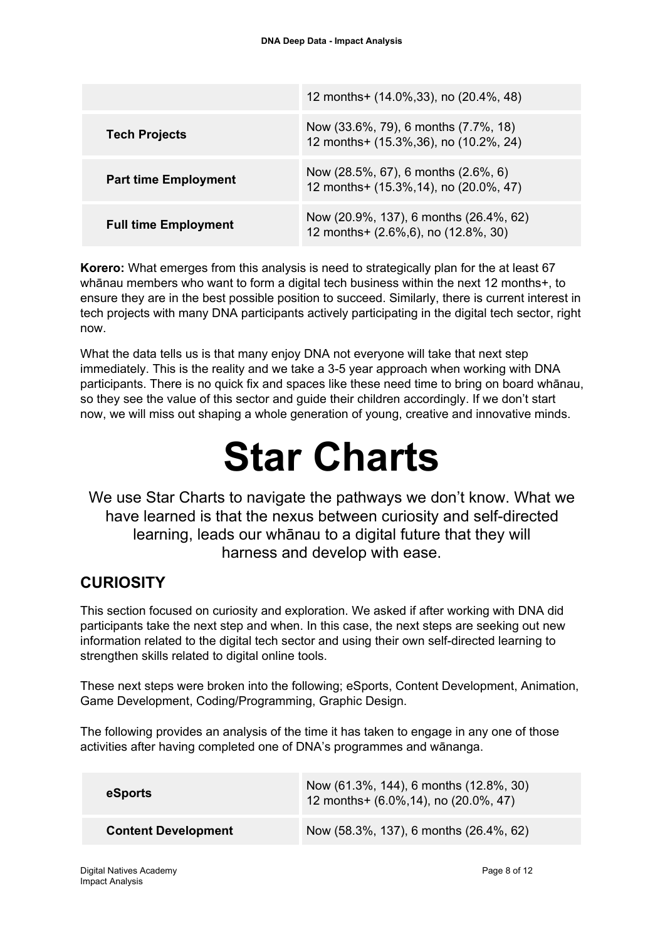|                             | 12 months+ $(14.0\%, 33)$ , no $(20.4\%, 48)$                                  |
|-----------------------------|--------------------------------------------------------------------------------|
| <b>Tech Projects</b>        | Now (33.6%, 79), 6 months (7.7%, 18)<br>12 months+ (15.3%, 36), no (10.2%, 24) |
| <b>Part time Employment</b> | Now (28.5%, 67), 6 months (2.6%, 6)<br>12 months+ (15.3%, 14), no (20.0%, 47)  |
| <b>Full time Employment</b> | Now (20.9%, 137), 6 months (26.4%, 62)<br>12 months+ (2.6%, 6), no (12.8%, 30) |

**Korero:** What emerges from this analysis is need to strategically plan for the at least 67 whānau members who want to form a digital tech business within the next 12 months+, to ensure they are in the best possible position to succeed. Similarly, there is current interest in tech projects with many DNA participants actively participating in the digital tech sector, right now.

What the data tells us is that many enjoy DNA not everyone will take that next step immediately. This is the reality and we take a 3-5 year approach when working with DNA participants. There is no quick fix and spaces like these need time to bring on board whānau, so they see the value of this sector and guide their children accordingly. If we don't start now, we will miss out shaping a whole generation of young, creative and innovative minds.

## **Star Charts**

We use Star Charts to navigate the pathways we don't know. What we have learned is that the nexus between curiosity and self-directed learning, leads our whānau to a digital future that they will harness and develop with ease.

## **CURIOSITY**

This section focused on curiosity and exploration. We asked if after working with DNA did participants take the next step and when. In this case, the next steps are seeking out new information related to the digital tech sector and using their own self-directed learning to strengthen skills related to digital online tools.

These next steps were broken into the following; eSports, Content Development, Animation, Game Development, Coding/Programming, Graphic Design.

The following provides an analysis of the time it has taken to engage in any one of those activities after having completed one of DNA's programmes and wānanga.

| eSports                    | Now (61.3%, 144), 6 months (12.8%, 30)<br>12 months+ (6.0%, 14), no (20.0%, 47) |
|----------------------------|---------------------------------------------------------------------------------|
| <b>Content Development</b> | Now (58.3%, 137), 6 months (26.4%, 62)                                          |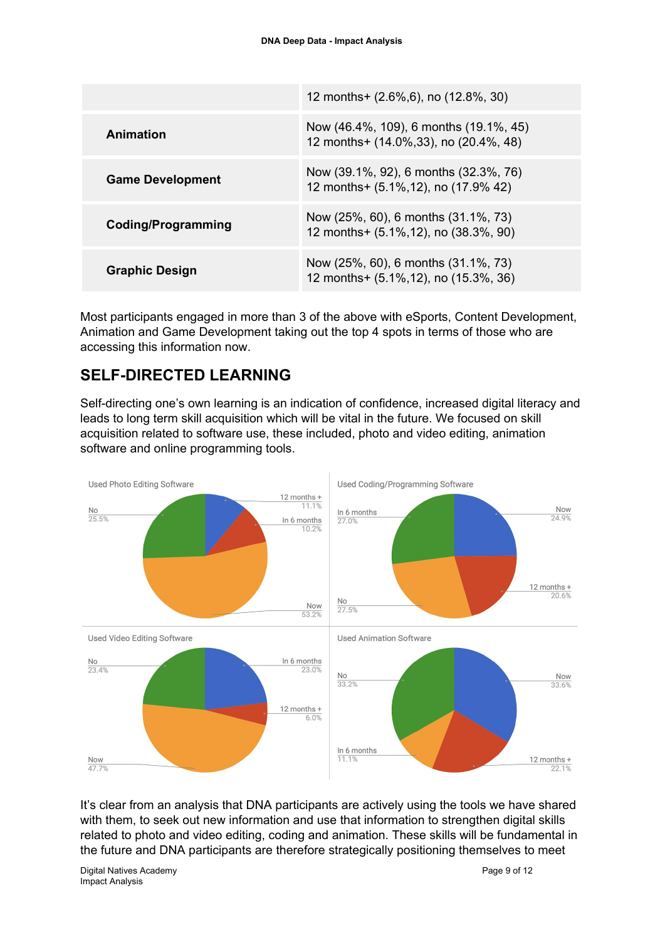|                           | 12 months+ (2.6%, 6), no (12.8%, 30)                                             |
|---------------------------|----------------------------------------------------------------------------------|
| Animation                 | Now (46.4%, 109), 6 months (19.1%, 45)<br>12 months+ (14.0%, 33), no (20.4%, 48) |
| <b>Game Development</b>   | Now (39.1%, 92), 6 months (32.3%, 76)<br>12 months+ (5.1%, 12), no (17.9% 42)    |
| <b>Coding/Programming</b> | Now (25%, 60), 6 months (31.1%, 73)<br>12 months+ (5.1%, 12), no (38.3%, 90)     |
| <b>Graphic Design</b>     | Now (25%, 60), 6 months (31.1%, 73)<br>12 months+ (5.1%, 12), no (15.3%, 36)     |

Most participants engaged in more than 3 of the above with eSports, Content Development, Animation and Game Development taking out the top 4 spots in terms of those who are accessing this information now.

## **SELF-DIRECTED LEARNING**

Self-directing one's own learning is an indication of confidence, increased digital literacy and leads to long term skill acquisition which will be vital in the future. We focused on skill acquisition related to software use, these included, photo and video editing, animation software and online programming tools.



It's clear from an analysis that DNA participants are actively using the tools we have shared with them, to seek out new information and use that information to strengthen digital skills related to photo and video editing, coding and animation. These skills will be fundamental in the future and DNA participants are therefore strategically positioning themselves to meet

Digital Natives Academy Page 9 of 12 Impact Analysis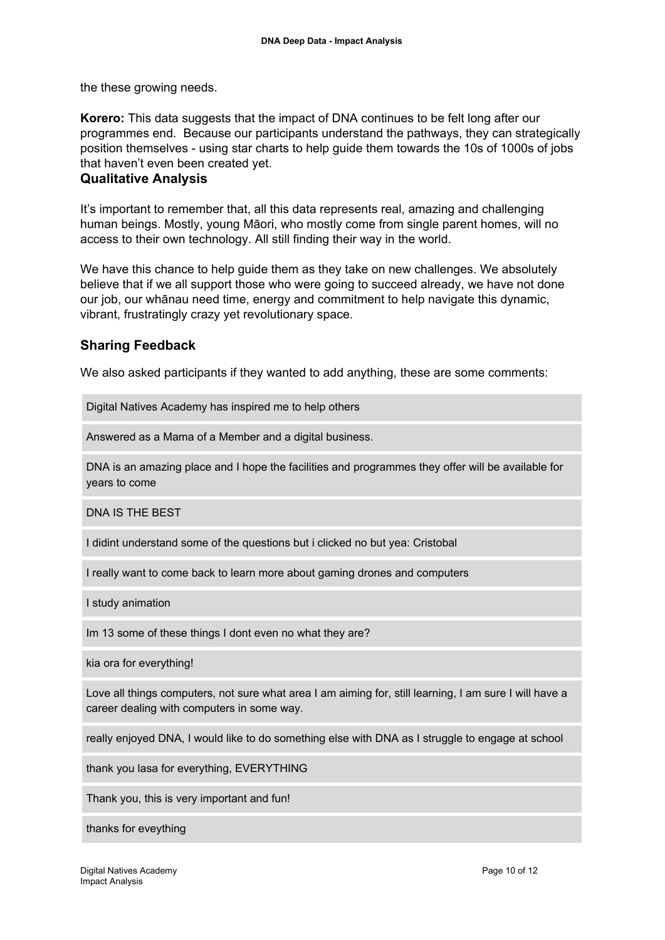the these growing needs.

**Korero:** This data suggests that the impact of DNA continues to be felt long after our programmes end. Because our participants understand the pathways, they can strategically position themselves - using star charts to help guide them towards the 10s of 1000s of jobs that haven't even been created yet.

#### **Qualitative Analysis**

It's important to remember that, all this data represents real, amazing and challenging human beings. Mostly, young Māori, who mostly come from single parent homes, will no access to their own technology. All still finding their way in the world.

We have this chance to help guide them as they take on new challenges. We absolutely believe that if we all support those who were going to succeed already, we have not done our job, our whānau need time, energy and commitment to help navigate this dynamic, vibrant, frustratingly crazy yet revolutionary space.

#### **Sharing Feedback**

We also asked participants if they wanted to add anything, these are some comments:

Digital Natives Academy has inspired me to help others

Answered as a Mama of a Member and a digital business.

DNA is an amazing place and I hope the facilities and programmes they offer will be available for years to come

DNA IS THE BEST

I didint understand some of the questions but i clicked no but yea: Cristobal

I really want to come back to learn more about gaming drones and computers

I study animation

Im 13 some of these things I dont even no what they are?

kia ora for everything!

Love all things computers, not sure what area I am aiming for, still learning, I am sure I will have a career dealing with computers in some way.

really enjoyed DNA, I would like to do something else with DNA as I struggle to engage at school

thank you lasa for everything, EVERYTHING

Thank you, this is very important and fun!

thanks for eveything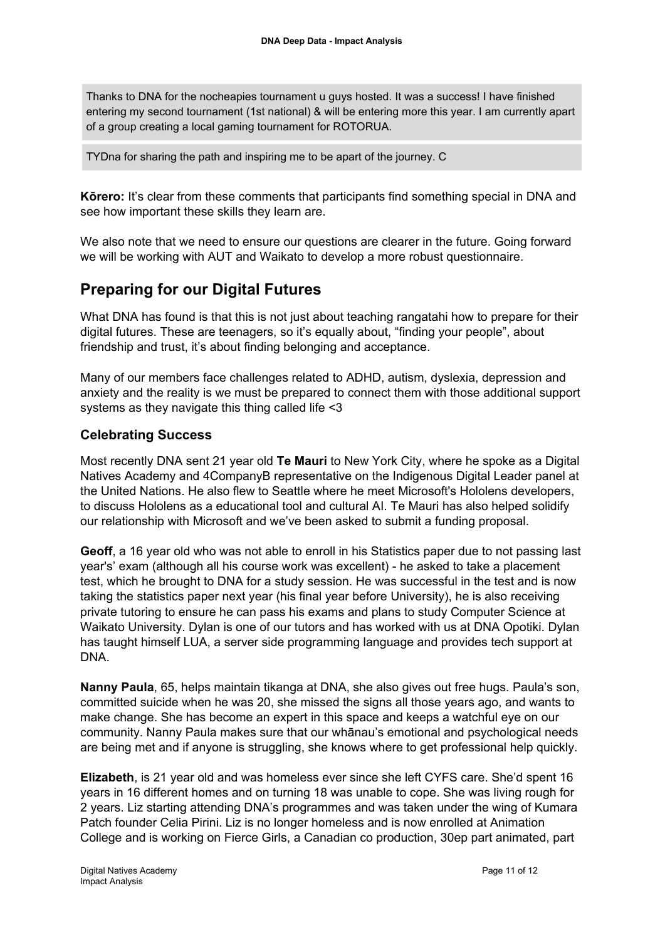Thanks to DNA for the nocheapies tournament u guys hosted. It was a success! I have finished entering my second tournament (1st national) & will be entering more this year. I am currently apart of a group creating a local gaming tournament for ROTORUA.

TYDna for sharing the path and inspiring me to be apart of the journey. C

**Kōrero:** It's clear from these comments that participants find something special in DNA and see how important these skills they learn are.

We also note that we need to ensure our questions are clearer in the future. Going forward we will be working with AUT and Waikato to develop a more robust questionnaire.

## **Preparing for our Digital Futures**

What DNA has found is that this is not just about teaching rangatahi how to prepare for their digital futures. These are teenagers, so it's equally about, "finding your people", about friendship and trust, it's about finding belonging and acceptance.

Many of our members face challenges related to ADHD, autism, dyslexia, depression and anxiety and the reality is we must be prepared to connect them with those additional support systems as they navigate this thing called life <3

#### **Celebrating Success**

Most recently DNA sent 21 year old **Te Mauri** to New York City, where he spoke as a Digital Natives Academy and 4CompanyB representative on the Indigenous Digital Leader panel at the United Nations. He also flew to Seattle where he meet Microsoft's Hololens developers, to discuss Hololens as a educational tool and cultural AI. Te Mauri has also helped solidify our relationship with Microsoft and we've been asked to submit a funding proposal.

**Geoff**, a 16 year old who was not able to enroll in his Statistics paper due to not passing last year's' exam (although all his course work was excellent) - he asked to take a placement test, which he brought to DNA for a study session. He was successful in the test and is now taking the statistics paper next year (his final year before University), he is also receiving private tutoring to ensure he can pass his exams and plans to study Computer Science at Waikato University. Dylan is one of our tutors and has worked with us at DNA Opotiki. Dylan has taught himself LUA, a server side programming language and provides tech support at DNA.

**Nanny Paula**, 65, helps maintain tikanga at DNA, she also gives out free hugs. Paula's son, committed suicide when he was 20, she missed the signs all those years ago, and wants to make change. She has become an expert in this space and keeps a watchful eye on our community. Nanny Paula makes sure that our whānau's emotional and psychological needs are being met and if anyone is struggling, she knows where to get professional help quickly.

**Elizabeth**, is 21 year old and was homeless ever since she left CYFS care. She'd spent 16 years in 16 different homes and on turning 18 was unable to cope. She was living rough for 2 years. Liz starting attending DNA's programmes and was taken under the wing of Kumara Patch founder Celia Pirini. Liz is no longer homeless and is now enrolled at Animation College and is working on Fierce Girls, a Canadian co production, 30ep part animated, part